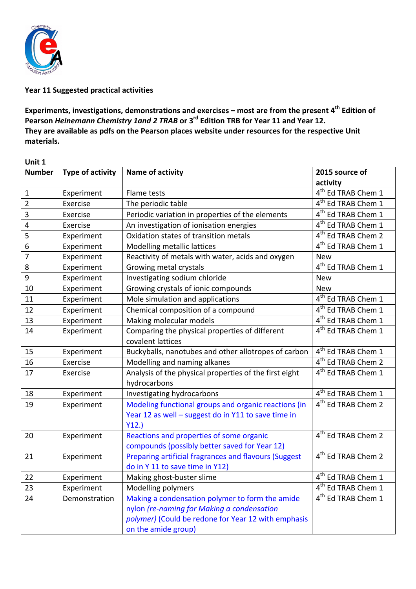

## **Year 11 Suggested practical activities**

Experiments, investigations, demonstrations and exercises – most are from the present 4<sup>th</sup> Edition of Pearson *Heinemann Chemistry 1and 2 TRAB* or 3<sup>rd</sup> Edition TRB for Year 11 and Year 12. They are available as pdfs on the Pearson places website under resources for the respective Unit **materials.**

| Unit 1                  |                         |                                                             |                                                                  |  |
|-------------------------|-------------------------|-------------------------------------------------------------|------------------------------------------------------------------|--|
| <b>Number</b>           | <b>Type of activity</b> | Name of activity                                            | 2015 source of                                                   |  |
|                         |                         |                                                             | activity                                                         |  |
| $\mathbf 1$             | Experiment              | Flame tests                                                 | 4 <sup>th</sup> Ed TRAB Chem 1                                   |  |
| $\mathbf 2$             | Exercise                | The periodic table                                          | 4 <sup>th</sup> Ed TRAB Chem 1                                   |  |
| $\overline{3}$          | Exercise                | Periodic variation in properties of the elements            | 4 <sup>th</sup> Ed TRAB Chem 1                                   |  |
| $\overline{\mathbf{4}}$ | Exercise                | An investigation of ionisation energies                     | 4 <sup>th</sup> Ed TRAB Chem 1                                   |  |
| $\overline{\mathbf{5}}$ | Experiment              | Oxidation states of transition metals                       | 4 <sup>th</sup> Ed TRAB Chem 2                                   |  |
| $\overline{6}$          | Experiment              | Modelling metallic lattices                                 | 4 <sup>th</sup> Ed TRAB Chem 1                                   |  |
| $\overline{7}$          | Experiment              | Reactivity of metals with water, acids and oxygen           | <b>New</b>                                                       |  |
| $\,8\,$                 | Experiment              | Growing metal crystals                                      | 4 <sup>th</sup> Ed TRAB Chem 1                                   |  |
| $\overline{9}$          | Experiment              | Investigating sodium chloride                               | <b>New</b>                                                       |  |
| 10                      | Experiment              | Growing crystals of ionic compounds                         | <b>New</b>                                                       |  |
| 11                      | Experiment              | Mole simulation and applications                            | $4th$ Ed TRAB Chem 1                                             |  |
| 12                      | Experiment              | Chemical composition of a compound                          | 4 <sup>th</sup> Ed TRAB Chem 1                                   |  |
| 13                      | Experiment              | Making molecular models                                     | 4 <sup>th</sup> Ed TRAB Chem 1                                   |  |
| 14                      | Experiment              | Comparing the physical properties of different              | 4 <sup>th</sup> Ed TRAB Chem 1                                   |  |
|                         |                         | covalent lattices                                           |                                                                  |  |
| 15                      | Experiment              | Buckyballs, nanotubes and other allotropes of carbon        | 4 <sup>th</sup> Ed TRAB Chem 1<br>4 <sup>th</sup> Ed TRAB Chem 2 |  |
| 16                      | Exercise                | Modelling and naming alkanes                                |                                                                  |  |
| 17                      | Exercise                | Analysis of the physical properties of the first eight      | 4 <sup>th</sup> Ed TRAB Chem 1                                   |  |
| 18                      |                         | hydrocarbons                                                | 4 <sup>th</sup> Ed TRAB Chem 1                                   |  |
|                         | Experiment              | Investigating hydrocarbons                                  | 4 <sup>th</sup> Ed TRAB Chem 2                                   |  |
| 19                      | Experiment              | Modeling functional groups and organic reactions (in        |                                                                  |  |
|                         |                         | Year 12 as well - suggest do in Y11 to save time in<br>Y12. |                                                                  |  |
| 20                      | Experiment              | Reactions and properties of some organic                    | 4 <sup>th</sup> Ed TRAB Chem 2                                   |  |
|                         |                         | compounds (possibly better saved for Year 12)               |                                                                  |  |
| 21                      | Experiment              | Preparing artificial fragrances and flavours (Suggest       | 4 <sup>th</sup> Ed TRAB Chem 2                                   |  |
|                         |                         | do in Y 11 to save time in Y12)                             |                                                                  |  |
| 22                      | Experiment              | Making ghost-buster slime                                   | 4 <sup>th</sup> Ed TRAB Chem 1                                   |  |
| 23                      | Experiment              | Modelling polymers                                          | 4 <sup>th</sup> Ed TRAB Chem 1                                   |  |
| 24                      | Demonstration           | Making a condensation polymer to form the amide             | 4 <sup>th</sup> Ed TRAB Chem 1                                   |  |
|                         |                         | nylon (re-naming for Making a condensation                  |                                                                  |  |
|                         |                         | polymer) (Could be redone for Year 12 with emphasis         |                                                                  |  |
|                         |                         | on the amide group)                                         |                                                                  |  |